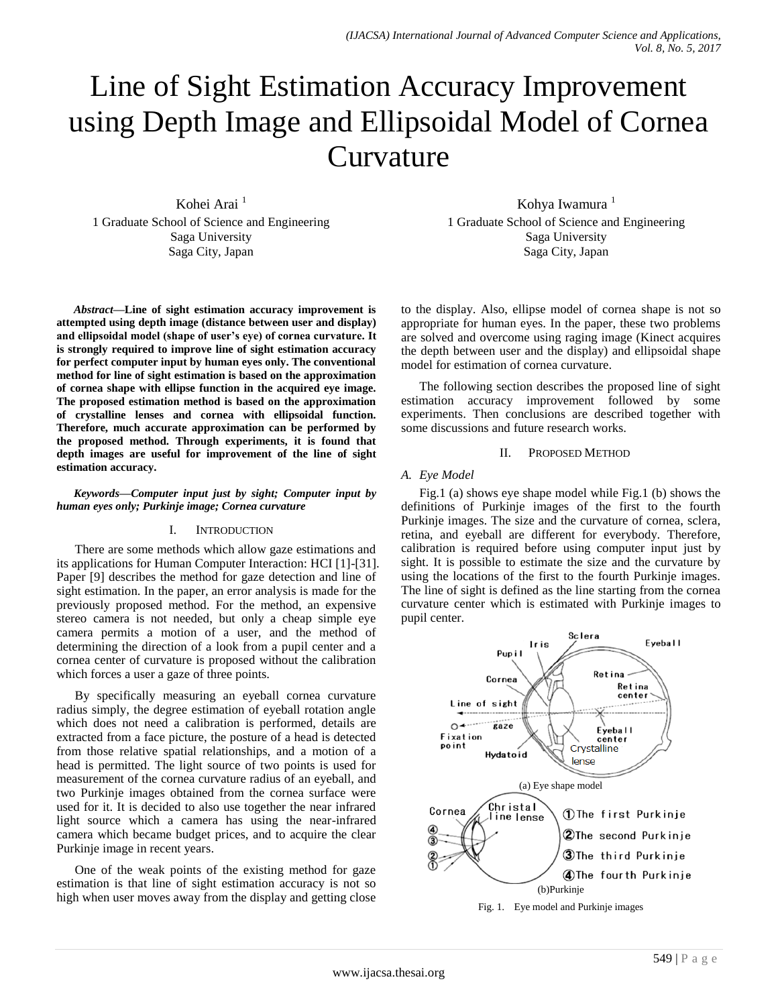# Line of Sight Estimation Accuracy Improvement using Depth Image and Ellipsoidal Model of Cornea Curvature

Kohei Arai<sup>1</sup> 1 Graduate School of Science and Engineering Saga University Saga City, Japan

*Abstract***—Line of sight estimation accuracy improvement is attempted using depth image (distance between user and display) and ellipsoidal model (shape of user's eye) of cornea curvature. It is strongly required to improve line of sight estimation accuracy for perfect computer input by human eyes only. The conventional method for line of sight estimation is based on the approximation of cornea shape with ellipse function in the acquired eye image. The proposed estimation method is based on the approximation of crystalline lenses and cornea with ellipsoidal function. Therefore, much accurate approximation can be performed by the proposed method. Through experiments, it is found that depth images are useful for improvement of the line of sight estimation accuracy.**

#### *Keywords—Computer input just by sight; Computer input by human eyes only; Purkinje image; Cornea curvature*

#### I. INTRODUCTION

There are some methods which allow gaze estimations and its applications for Human Computer Interaction: HCI [1]-[31]. Paper [9] describes the method for gaze detection and line of sight estimation. In the paper, an error analysis is made for the previously proposed method. For the method, an expensive stereo camera is not needed, but only a cheap simple eye camera permits a motion of a user, and the method of determining the direction of a look from a pupil center and a cornea center of curvature is proposed without the calibration which forces a user a gaze of three points.

By specifically measuring an eyeball cornea curvature radius simply, the degree estimation of eyeball rotation angle which does not need a calibration is performed, details are extracted from a face picture, the posture of a head is detected from those relative spatial relationships, and a motion of a head is permitted. The light source of two points is used for measurement of the cornea curvature radius of an eyeball, and two Purkinje images obtained from the cornea surface were used for it. It is decided to also use together the near infrared light source which a camera has using the near-infrared camera which became budget prices, and to acquire the clear Purkinje image in recent years.

One of the weak points of the existing method for gaze estimation is that line of sight estimation accuracy is not so high when user moves away from the display and getting close

Kohya Iwamura<sup>1</sup> 1 Graduate School of Science and Engineering Saga University Saga City, Japan

to the display. Also, ellipse model of cornea shape is not so appropriate for human eyes. In the paper, these two problems are solved and overcome using raging image (Kinect acquires the depth between user and the display) and ellipsoidal shape model for estimation of cornea curvature.

The following section describes the proposed line of sight estimation accuracy improvement followed by some experiments. Then conclusions are described together with some discussions and future research works.

#### II. PROPOSED METHOD

# *A. Eye Model*

Fig.1 (a) shows eye shape model while Fig.1 (b) shows the definitions of Purkinje images of the first to the fourth Purkinje images. The size and the curvature of cornea, sclera, retina, and eyeball are different for everybody. Therefore, calibration is required before using computer input just by sight. It is possible to estimate the size and the curvature by using the locations of the first to the fourth Purkinje images. The line of sight is defined as the line starting from the cornea curvature center which is estimated with Purkinje images to pupil center.



Fig. 1. Eye model and Purkinje images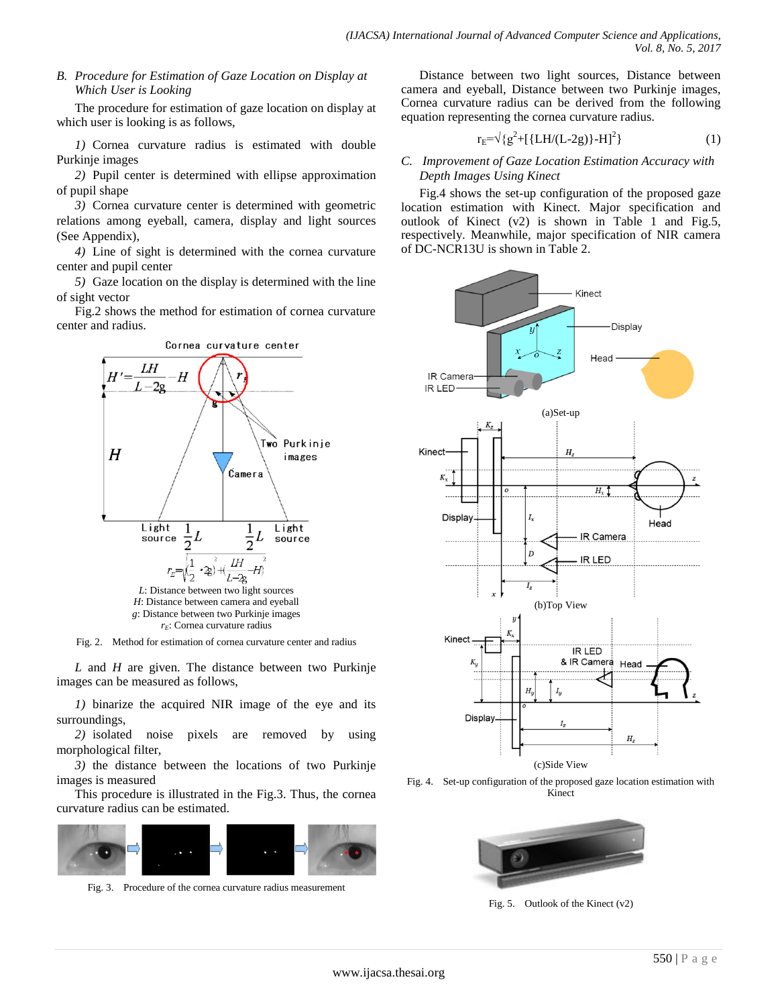# *B. Procedure for Estimation of Gaze Location on Display at Which User is Looking*

The procedure for estimation of gaze location on display at which user is looking is as follows,

*1)* Cornea curvature radius is estimated with double Purkinje images

*2)* Pupil center is determined with ellipse approximation of pupil shape

*3)* Cornea curvature center is determined with geometric relations among eyeball, camera, display and light sources (See Appendix),

*4)* Line of sight is determined with the cornea curvature center and pupil center

*5)* Gaze location on the display is determined with the line of sight vector

Fig.2 shows the method for estimation of cornea curvature center and radius.



Fig. 2. Method for estimation of cornea curvature center and radius

*L* and *H* are given. The distance between two Purkinje images can be measured as follows,

*1)* binarize the acquired NIR image of the eye and its surroundings,

*2)* isolated noise pixels are removed by using morphological filter,

*3)* the distance between the locations of two Purkinje images is measured

This procedure is illustrated in the Fig.3. Thus, the cornea curvature radius can be estimated.



Fig. 3. Procedure of the cornea curvature radius measurement

Distance between two light sources, Distance between camera and eyeball, Distance between two Purkinje images, Cornea curvature radius can be derived from the following equation representing the cornea curvature radius.

$$
r_{E} = \sqrt{g^2 + [{LH/(L-2g)} - H]^2}
$$
 (1)

# *C. Improvement of Gaze Location Estimation Accuracy with Depth Images Using Kinect*

Fig.4 shows the set-up configuration of the proposed gaze location estimation with Kinect. Major specification and outlook of Kinect  $(v2)$  is shown in Table 1 and Fig.5, respectively. Meanwhile, major specification of NIR camera of DC-NCR13U is shown in Table 2.



Fig. 4. Set-up configuration of the proposed gaze location estimation with Kinect



Fig. 5. Outlook of the Kinect (v2)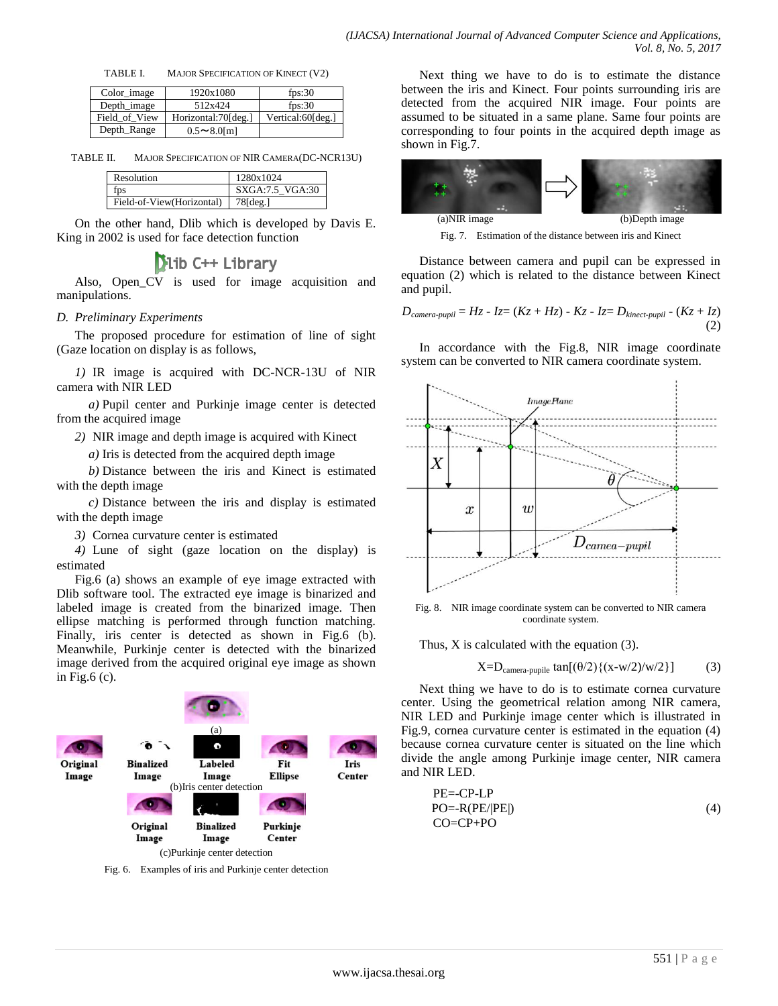TABLE I. MAJOR SPECIFICATION OF KINECT (V2)

| Color_image   | 1920x1080           | fps: $30$         |
|---------------|---------------------|-------------------|
| Depth image   | 512x424             | fps: $30$         |
| Field of View | Horizontal:70[deg.] | Vertical:60[deg.] |
| Depth_Range   | $0.5 \sim 8.0$ [m]  |                   |

TABLE II. MAJOR SPECIFICATION OF NIR CAMERA(DC-NCR13U)

| Resolution                | 1280x1024         |
|---------------------------|-------------------|
|                           | SXGA: 7.5 VGA: 30 |
| Field-of-View(Horizontal) |                   |

On the other hand, Dlib which is developed by Davis E. King in 2002 is used for face detection function

# **Dib C++ Library**

Also, Open CV is used for image acquisition and manipulations.

# *D. Preliminary Experiments*

The proposed procedure for estimation of line of sight (Gaze location on display is as follows,

*1)* IR image is acquired with DC-NCR-13U of NIR camera with NIR LED

*a)* Pupil center and Purkinje image center is detected from the acquired image

*2)* NIR image and depth image is acquired with Kinect

*a)* Iris is detected from the acquired depth image

*b)* Distance between the iris and Kinect is estimated with the depth image

*c)* Distance between the iris and display is estimated with the depth image

*3)* Cornea curvature center is estimated

*4)* Lune of sight (gaze location on the display) is estimated

Fig.6 (a) shows an example of eye image extracted with Dlib software tool. The extracted eye image is binarized and labeled image is created from the binarized image. Then ellipse matching is performed through function matching. Finally, iris center is detected as shown in Fig.6 (b). Meanwhile, Purkinje center is detected with the binarized image derived from the acquired original eye image as shown in Fig.6 (c).



Fig. 6. Examples of iris and Purkinje center detection

Next thing we have to do is to estimate the distance between the iris and Kinect. Four points surrounding iris are detected from the acquired NIR image. Four points are assumed to be situated in a same plane. Same four points are corresponding to four points in the acquired depth image as shown in Fig.7.



Fig. 7. Estimation of the distance between iris and Kinect

Distance between camera and pupil can be expressed in equation (2) which is related to the distance between Kinect and pupil.

$$
D_{\text{camera-pupil}} = Hz - Iz = (Kz + Hz) - Kz - Iz = D_{\text{kinect-pupil}} - (Kz + Iz)
$$
\n(2)

In accordance with the Fig.8, NIR image coordinate system can be converted to NIR camera coordinate system.



Fig. 8. NIR image coordinate system can be converted to NIR camera coordinate system.

Thus, X is calculated with the equation (3).

$$
X=D_{\text{camera-pupile}} \tan[(\theta/2)\{(x-w/2)/w/2\}] \tag{3}
$$

Next thing we have to do is to estimate cornea curvature center. Using the geometrical relation among NIR camera, NIR LED and Purkinje image center which is illustrated in Fig.9, cornea curvature center is estimated in the equation (4) because cornea curvature center is situated on the line which divide the angle among Purkinje image center, NIR camera and NIR LED.

$$
PE=-CP-LP
$$
  
PO=-R(PE/|PE|)  
CO=CP+PO (4)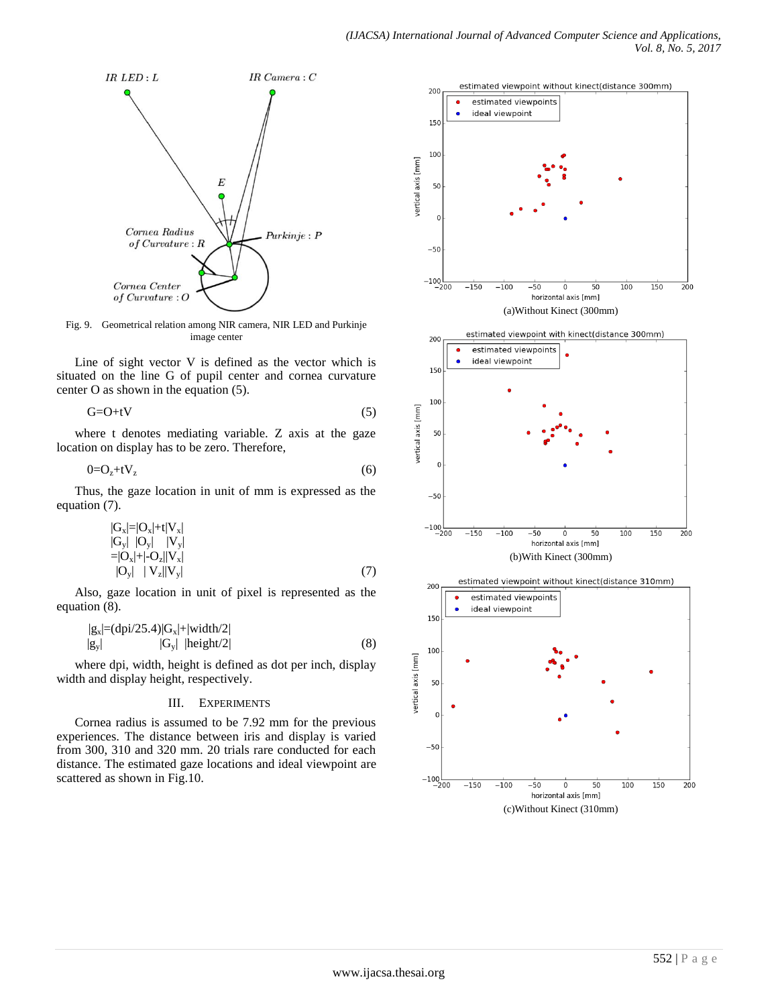

Fig. 9. Geometrical relation among NIR camera, NIR LED and Purkinje image center

Line of sight vector V is defined as the vector which is situated on the line G of pupil center and cornea curvature center O as shown in the equation (5).

$$
G = O + tV \tag{5}
$$

where t denotes mediating variable. Z axis at the gaze location on display has to be zero. Therefore,

$$
0 = Oz + tVz
$$
 (6)

Thus, the gaze location in unit of mm is expressed as the equation (7).

$$
|\mathbf{G}_{\mathbf{x}}| = |\mathbf{O}_{\mathbf{x}}| + \mathbf{t} |\mathbf{V}_{\mathbf{x}}|
$$
  
\n
$$
|\mathbf{G}_{\mathbf{y}}| \ |\mathbf{O}_{\mathbf{y}}| \ |V_{\mathbf{y}}|
$$
  
\n
$$
= |\mathbf{O}_{\mathbf{x}}| + |\mathbf{O}_{\mathbf{z}}| |\mathbf{V}_{\mathbf{x}}|
$$
  
\n
$$
|\mathbf{O}_{\mathbf{y}}| \ |V_{\mathbf{z}}| |\mathbf{V}_{\mathbf{y}}|
$$
\n(7)

Also, gaze location in unit of pixel is represented as the equation (8).

$$
|g_x| = (dpi/25.4)|G_x| + |width/2|
$$
  
\n
$$
|g_y| \qquad |G_y| \qquad |height/2|
$$
 (8)

where dpi, width, height is defined as dot per inch, display width and display height, respectively.

#### III. EXPERIMENTS

Cornea radius is assumed to be 7.92 mm for the previous experiences. The distance between iris and display is varied from 300, 310 and 320 mm. 20 trials rare conducted for each distance. The estimated gaze locations and ideal viewpoint are scattered as shown in Fig.10.

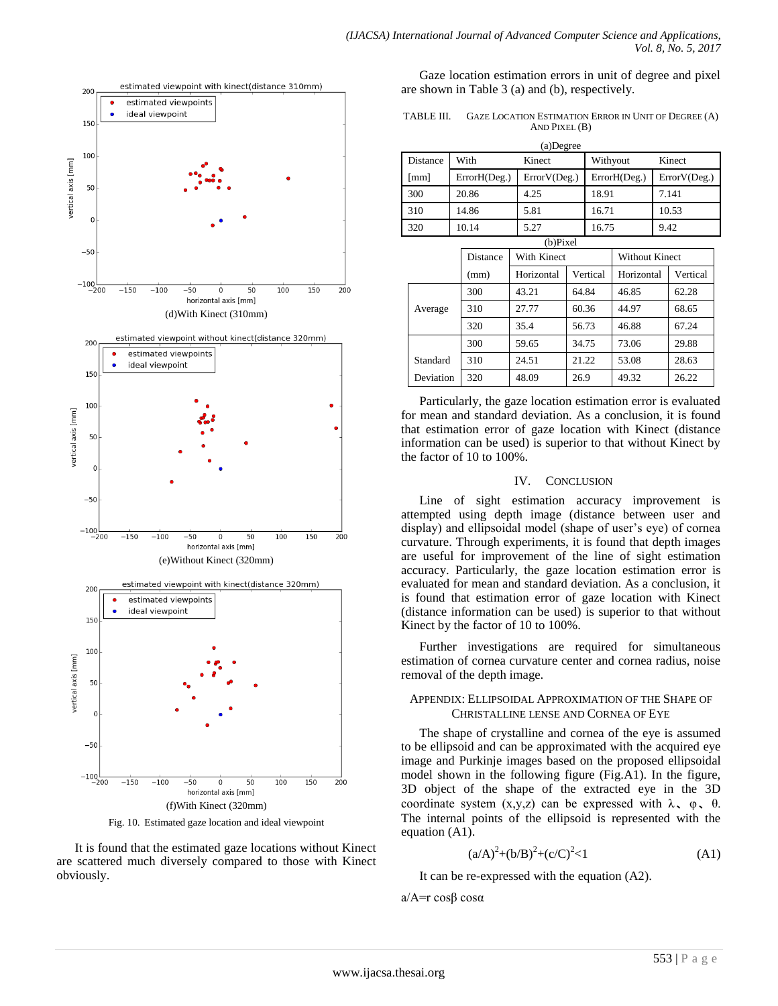

Fig. 10. Estimated gaze location and ideal viewpoint

It is found that the estimated gaze locations without Kinect are scattered much diversely compared to those with Kinect obviously.

Gaze location estimation errors in unit of degree and pixel are shown in Table 3 (a) and (b), respectively.

TABLE III. GAZE LOCATION ESTIMATION ERROR IN UNIT OF DEGREE (A) AND PIXEL (B)

| (a)Degree |                |              |              |              |  |  |  |  |
|-----------|----------------|--------------|--------------|--------------|--|--|--|--|
| Distance  | With<br>Kinect |              | Withyout     | Kinect       |  |  |  |  |
| [mm]      | ErrorH(Deg.)   | ErrorV(Deg.) | ErrorH(Deg.) | ErrorV(Deg.) |  |  |  |  |
| 300       | 20.86          | 4.25         | 18.91        | 7.141        |  |  |  |  |
| 310       | 14.86          | 5.81         | 16.71        | 10.53        |  |  |  |  |
| 320       | 10.14          | 5.27         | 16.75        | 9.42         |  |  |  |  |

| $(b)$ Pixel |          |             |          |                       |          |  |  |  |
|-------------|----------|-------------|----------|-----------------------|----------|--|--|--|
|             | Distance | With Kinect |          | <b>Without Kinect</b> |          |  |  |  |
|             | (mm)     | Horizontal  | Vertical | Horizontal            | Vertical |  |  |  |
|             | 300      | 43.21       | 64.84    | 46.85                 | 62.28    |  |  |  |
| Average     | 310      | 27.77       | 60.36    | 44.97                 | 68.65    |  |  |  |
|             | 320      | 35.4        | 56.73    | 46.88                 | 67.24    |  |  |  |
|             | 300      | 59.65       | 34.75    | 73.06                 | 29.88    |  |  |  |
| Standard    | 310      | 24.51       | 21.22    | 53.08                 | 28.63    |  |  |  |
| Deviation   | 320      | 48.09       | 26.9     | 49.32                 | 26.22    |  |  |  |

Particularly, the gaze location estimation error is evaluated for mean and standard deviation. As a conclusion, it is found that estimation error of gaze location with Kinect (distance information can be used) is superior to that without Kinect by the factor of 10 to 100%.

# IV. CONCLUSION

Line of sight estimation accuracy improvement is attempted using depth image (distance between user and display) and ellipsoidal model (shape of user's eye) of cornea curvature. Through experiments, it is found that depth images are useful for improvement of the line of sight estimation accuracy. Particularly, the gaze location estimation error is evaluated for mean and standard deviation. As a conclusion, it is found that estimation error of gaze location with Kinect (distance information can be used) is superior to that without Kinect by the factor of 10 to 100%.

Further investigations are required for simultaneous estimation of cornea curvature center and cornea radius, noise removal of the depth image.

# APPENDIX: ELLIPSOIDAL APPROXIMATION OF THE SHAPE OF CHRISTALLINE LENSE AND CORNEA OF EYE

The shape of crystalline and cornea of the eye is assumed to be ellipsoid and can be approximated with the acquired eye image and Purkinje images based on the proposed ellipsoidal model shown in the following figure (Fig.A1). In the figure, 3D object of the shape of the extracted eye in the 3D coordinate system  $(x,y,z)$  can be expressed with  $\lambda$ ,  $\varphi$ ,  $\theta$ . The internal points of the ellipsoid is represented with the equation (A1).

$$
(a/A)^{2}+(b/B)^{2}+(c/C)^{2}<1
$$
 (A1)

It can be re-expressed with the equation (A2).

a/A=r cosβ cosα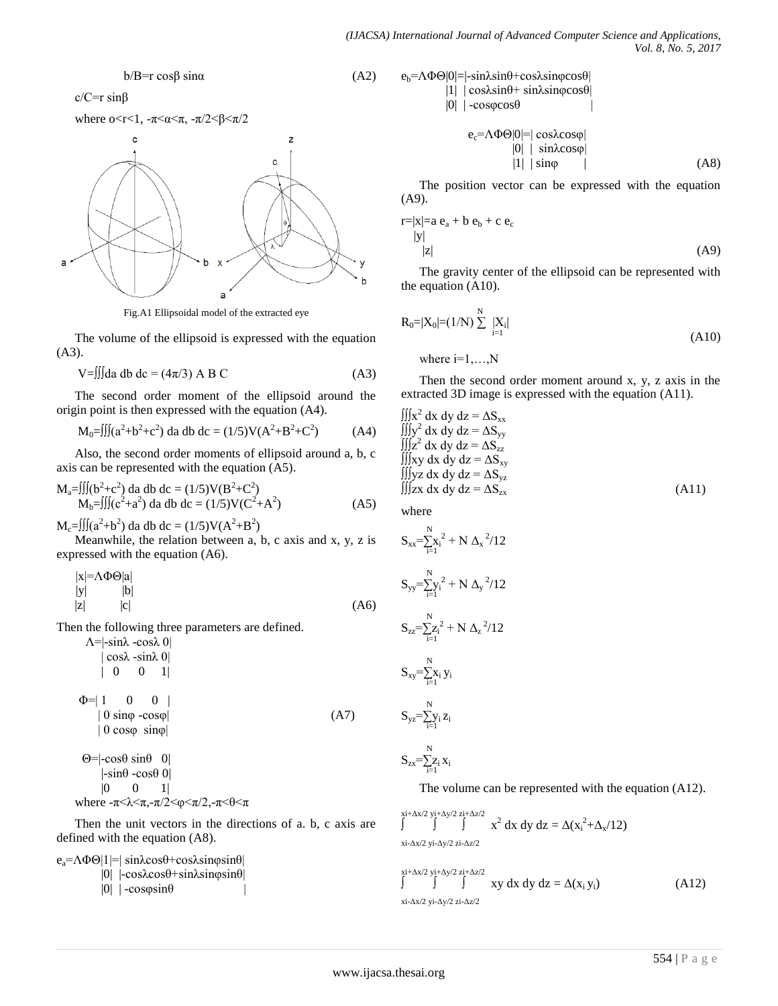#### $b/B=r \cos\beta \sin\alpha$  (A2)

 $c/C=r \sin\beta$ 

where 
$$
0 < r < 1
$$
,  $-\pi < \alpha < \pi$ ,  $-\pi/2 < \beta < \pi/2$ 



Fig.A1 Ellipsoidal model of the extracted eye

The volume of the ellipsoid is expressed with the equation (A3).

$$
V = \iiint da db dc = (4\pi/3) AB C
$$
 (A3)

The second order moment of the ellipsoid around the origin point is then expressed with the equation (A4).

$$
M_0 = \iiint (a^2 + b^2 + c^2) da db dc = (1/5)V(A^2 + B^2 + C^2)
$$
 (A4)

Also, the second order moments of ellipsoid around a, b, c axis can be represented with the equation (A5).

$$
M_a = \iiint (b^2 + c^2) da db dc = (1/5)V(B^2 + C^2)
$$
  
\n
$$
M_b = \iiint (c^2 + a^2) da db dc = (1/5)V(C^2 + A^2)
$$
 (A5)

 $M_c = \iiint (a^2+b^2) da db dc = (1/5)V(A^2+B^2)$ 

Meanwhile, the relation between a, b, c axis and x, y, z is expressed with the equation (A6).

$$
|x| = \Lambda \Phi \Theta |a|
$$
  
\n
$$
|y|
$$
 |b|  
\n
$$
|z|
$$
 |c| (A6)

Then the following three parameters are defined.

$$
\Delta = |\sin \lambda - \cos \lambda \ 0|
$$
  
\n
$$
|\cos \lambda - \sin \lambda \ 0|
$$
  
\n
$$
|0 \ 0 \ 1|
$$
  
\n
$$
\Phi = | 1 \ 0 \ 0 \ 1 |
$$
  
\n
$$
|0 \sin \phi - \cos \phi|
$$
  
\n
$$
|0 \cos \phi \ \sin \phi|
$$
  
\n
$$
\Theta = |\cos \theta \ \sin \theta \ 0|
$$
  
\n
$$
|\sin \theta - \cos \theta \ 0|
$$

where  $-\pi < \lambda < \pi, -\pi/2 < \varphi < \pi/2, -\pi < \theta < \pi$ Then the unit vectors in the directions of a. b, c axis are defined with the equation (A8).

 $e_a = \Lambda \Phi \Theta |1| = |\sin \lambda \cos \theta + \cos \lambda \sin \phi \sin \theta|$  |0| |-cosλcosθ+sinλsinφsinθ|  $|0|$  | -cos $\varphi$ sin $\theta$ 

 $|0 \t 0 \t 1|$ 

$$
e_b = \Lambda \Phi \Theta |0| = |-sin \lambda sin \theta + cos \lambda sin \varphi cos \theta|
$$
  
\n
$$
|1| | cos \lambda sin \theta + sin \lambda sin \varphi cos \theta|
$$
  
\n
$$
|0| | -cos \varphi cos \theta|
$$
  
\n
$$
e_c = \Lambda \Phi \Theta |0| = | cos \lambda cos \varphi|
$$
  
\n
$$
|0| | sin \lambda cos \varphi|
$$
  
\n
$$
|1| | sin \varphi |
$$
 (A8)

The position vector can be expressed with the equation (A9).

$$
\begin{aligned}\n\text{r} &= |x| = a \, \text{e}_a + b \, \text{e}_b + c \, \text{e}_c \\
|y| & \qquad |z|\n\end{aligned} \tag{A9}
$$

The gravity center of the ellipsoid can be represented with the equation (A10).

$$
R_0 = |X_0| = (1/N) \sum_{i=1}^{N} |X_i|
$$
  
where i=1,...,N

Then the second order moment around x, y, z axis in the extracted 3D image is expressed with the equation (A11).

$$
\iiint_{X^2} dx dy dz = \Delta S_{xx}
$$
  
\n
$$
\iiint_{Y^2} dx dy dz = \Delta S_{yy}
$$
  
\n
$$
\iiint_{Z^2} dx dy dz = \Delta S_{zz}
$$
  
\n
$$
\iiint_{YZ} dx dy dz = \Delta S_{yz}
$$
  
\n
$$
\iiint_{ZX} dx dy dz = \Delta S_{zx}
$$
  
\n(A11)

where

$$
S_{xx} = \sum_{i=1}^{N} x_i^2 + N \Delta_x^2 / 12
$$
  
\n
$$
S_{yy} = \sum_{i=1}^{N} y_i^2 + N \Delta_y^2 / 12
$$
  
\n
$$
S_{zz} = \sum_{i=1}^{N} z_i^2 + N \Delta_z^2 / 12
$$
  
\n
$$
S_{xy} = \sum_{i=1}^{N} x_i y_i
$$
  
\n
$$
S_{yz} = \sum_{i=1}^{N} y_i z_i
$$

 $S_{zx} = \sum_{i=1}^{N} Z_i x_i$ 

The volume can be represented with the equation (A12).

 $\int \int \int \int \int x^2 dx dy dz = \Delta(x_1^2 + \Delta_x/12)$ 

xi-Δx/2 yi-Δy/2 zi-Δz/2

$$
\int_{\sinh 2x/2}^{\sinh 2x/2} \int_{\sinh 2x/2}^{\sinh 2x/2} \int_{\sinh 2x/2}^{\sinh 2x/2} xy \, dx \, dy \, dz = \Delta(x_i, y_i)
$$
\n(A12)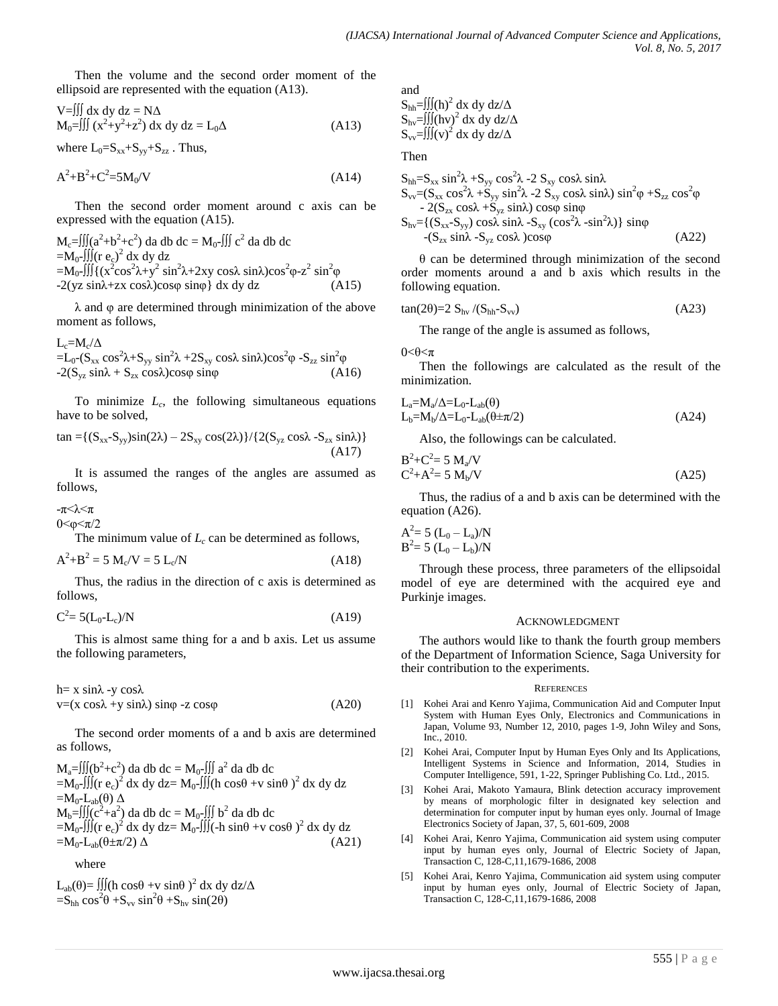Then the volume and the second order moment of the ellipsoid are represented with the equation (A13).

$$
V = \iiint dx dy dz = N\Delta
$$
  
\n
$$
M_0 = \iiint (x^2 + y^2 + z^2) dx dy dz = L_0 \Delta
$$
\n(A13)

where  $L_0=S_{xx}+S_{yy}+S_{zz}$ . Thus,

$$
A^2 + B^2 + C^2 = 5M_0/V
$$
 (A14)

Then the second order moment around c axis can be expressed with the equation (A15).

 $M_c = \iiint (a^2+b^2+c^2)$  da db dc =  $M_0$ -∭ c<sup>2</sup> da db dc  $=M_0$ -∭(r e<sub>c</sub>)<sup>2</sup> dx dy dz  $=M_0$ -∭{(x<sup>2</sup>cos<sup>2</sup>λ+y<sup>2</sup> sin<sup>2</sup>λ+2xy cosλ sinλ)cos<sup>2</sup>φ-z<sup>2</sup> sin<sup>2</sup>φ  $-2(yz \sin\lambda + zx \cos\lambda)\cos\phi \sin\phi$  dx dy dz (A15)

λ and φ are determined through minimization of the above moment as follows,

 $L_c = M_c / \Delta$ =L<sub>0</sub>-(S<sub>xx</sub> cos<sup>2</sup>λ+S<sub>yy</sub> sin<sup>2</sup>λ +2S<sub>xy</sub> cosλ sinλ)cos<sup>2</sup>φ -S<sub>zz</sub> sin<sup>2</sup>φ  $-2(S_{yz} \sin\lambda + S_{zx} \cos\lambda)\cos\phi \sin\phi$  (A16)

To minimize *L<sup>c</sup>* , the following simultaneous equations have to be solved,

$$
\tan = \{ (S_{xx} - S_{yy}) \sin(2\lambda) - 2S_{xy} \cos(2\lambda) \} / \{ 2(S_{yz} \cos\lambda - S_{zx} \sin\lambda) \}
$$
\n(A17)

It is assumed the ranges of the angles are assumed as follows,

-π<λ<π

 $0 < Φ < π/2$ 

The minimum value of  $L_c$  can be determined as follows,

$$
A^2 + B^2 = 5 M_c/V = 5 L_c/N
$$
 (A18)

Thus, the radius in the direction of c axis is determined as follows,

$$
C^2 = 5(L_0 - L_c)/N
$$
 (A19)

This is almost same thing for a and b axis. Let us assume the following parameters,

 $h= x sinλ - y cosλ$  $v=(x \cos\lambda + y \sin\lambda) \sin\phi - z \cos\phi$  (A20)

The second order moments of a and b axis are determined as follows,

$$
M_a= \iiint (b^2+c^2) da db dc = M_0 - \iiint a^2 da db dc
$$
  
= $M_0$ - $\iiint (r e_c)^2 dx dy dz = M_0 - \iiint (h cos\theta + v sin\theta)^2 dx dy dz$   
= $M_0$ - $L_{ab}(\theta) \Delta$   
 $M_b= \iiint (c^2+a^2) da db dc = M_0 - \iiint b^2 da db dc$   
= $M_0$ - $\iiint (r e_c)^2 dx dy dz = M_0 - \iiint (-h sin\theta + v cos\theta)^2 dx dy dz$   
= $M_0$ - $L_{ab}(\theta \pm \pi/2) \Delta$  (A21)

where

 $L_{ab}(\theta) = \iiint (h \cos \theta + v \sin \theta)^2 dx dy dz/\Delta$  $=$ S<sub>hh</sub> cos<sup>2</sup> $\theta$  +S<sub>vv</sub> sin<sup>2</sup> $\theta$  +S<sub>hv</sub> sin(2 $\theta$ )

and

$$
\begin{array}{l} S_{hh} = & \iiint (h)^2 \ dx \ dy \ dz / \Delta \\ S_{hv} = & \iiint (hv)^2 \ dx \ dy \ dz / \Delta \\ S_{vv} = & \iiint (v)^2 \ dx \ dy \ dz / \Delta \end{array}
$$

Then

$$
S_{hh} = S_{xx} \sin^2 \lambda + S_{yy} \cos^2 \lambda - 2 S_{xy} \cos \lambda \sin \lambda
$$
  
\n
$$
S_{vv} = (S_{xx} \cos^2 \lambda + S_{yy} \sin^2 \lambda - 2 S_{xy} \cos \lambda \sin \lambda) \sin^2 \phi + S_{zz} \cos^2 \phi
$$
  
\n
$$
- 2(S_{zx} \cos \lambda + S_{yz} \sin \lambda) \cos \phi \sin \phi
$$
  
\n
$$
S_{hv} = \{ (S_{xx} - S_{yy}) \cos \lambda \sin \lambda - S_{xy} (\cos^2 \lambda - \sin^2 \lambda) \} \sin \phi
$$
  
\n
$$
- (S_{zx} \sin \lambda - S_{yz} \cos \lambda) \cos \phi
$$
  
\n(A22)

θ can be determined through minimization of the second order moments around a and b axis which results in the following equation.

$$
\tan(2\theta) = 2 S_{\text{hv}} / (S_{\text{hh}} - S_{\text{vv}})
$$
 (A23)

The range of the angle is assumed as follows,

 $0<\theta<\pi$ 

Then the followings are calculated as the result of the minimization.

$$
L_a=M_a/\Delta=L_0-L_{ab}(\theta)
$$
  
\n
$$
L_b=M_b/\Delta=L_0-L_{ab}(\theta \pm \pi/2)
$$
\n(A24)

Also, the followings can be calculated.

$$
B^{2} + C^{2} = 5 M_{a}/V
$$
  
\n
$$
C^{2} + A^{2} = 5 M_{b}/V
$$
\n
$$
(A25)
$$

Thus, the radius of a and b axis can be determined with the equation (A26).

$$
A^2 = 5 (L_0 - L_a)/N
$$
  
B<sup>2</sup>= 5 (L<sub>0</sub> - L<sub>b</sub>)/N

Through these process, three parameters of the ellipsoidal model of eye are determined with the acquired eye and Purkinje images.

#### ACKNOWLEDGMENT

The authors would like to thank the fourth group members of the Department of Information Science, Saga University for their contribution to the experiments.

#### **REFERENCES**

- [1] Kohei Arai and Kenro Yajima, Communication Aid and Computer Input System with Human Eyes Only, Electronics and Communications in Japan, Volume 93, Number 12, 2010, pages 1-9, John Wiley and Sons, Inc., 2010.
- [2] Kohei Arai, Computer Input by Human Eyes Only and Its Applications, Intelligent Systems in Science and Information, 2014, Studies in Computer Intelligence, 591, 1-22, Springer Publishing Co. Ltd., 2015.
- [3] Kohei Arai, Makoto Yamaura, Blink detection accuracy improvement by means of morphologic filter in designated key selection and determination for computer input by human eyes only. Journal of Image Electronics Society of Japan, 37, 5, 601-609, 2008
- [4] Kohei Arai, Kenro Yajima, Communication aid system using computer input by human eyes only, Journal of Electric Society of Japan, Transaction C, 128-C,11,1679-1686, 2008
- [5] Kohei Arai, Kenro Yajima, Communication aid system using computer input by human eyes only, Journal of Electric Society of Japan, Transaction C, 128-C,11,1679-1686, 2008